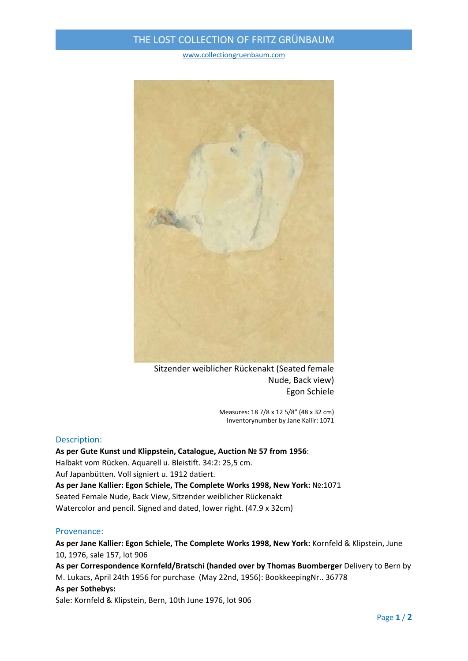# THE LOST COLLECTION OF FRITZ GRÜNBAUM

#### www.collectiongruenbaum.com



Sitzender weiblicher Rückenakt (Seated female Nude, Back view) Egon Schiele

> Measures: 18 7/8 x 12 5/8" (48 x 32 cm) Inventorynumber by Jane Kallir: 1071

### Description:

**As per Gute Kunst und Klippstein, Catalogue, Auction № 57 from 1956**: Halbakt vom Rücken. Aquarell u. Bleistift. 34:2: 25,5 cm. Auf Japanbütten. Voll signiert u. 1912 datiert. **As per Jane Kallier: Egon Schiele, The Complete Works 1998, New York:** №:1071 Seated Female Nude, Back View, Sitzender weiblicher Rückenakt Watercolor and pencil. Signed and dated, lower right. (47.9 x 32cm)

### Provenance:

**As per Jane Kallier: Egon Schiele, The Complete Works 1998, New York:** Kornfeld & Klipstein, June 10, 1976, sale 157, lot 906 **As per Correspondence Kornfeld/Bratschi (handed over by Thomas Buomberger** Delivery to Bern by

M. Lukacs, April 24th 1956 for purchase (May 22nd, 1956): BookkeepingNr.. 36778 **As per Sothebys:** Sale: Kornfeld & Klipstein, Bern, 10th June 1976, lot 906